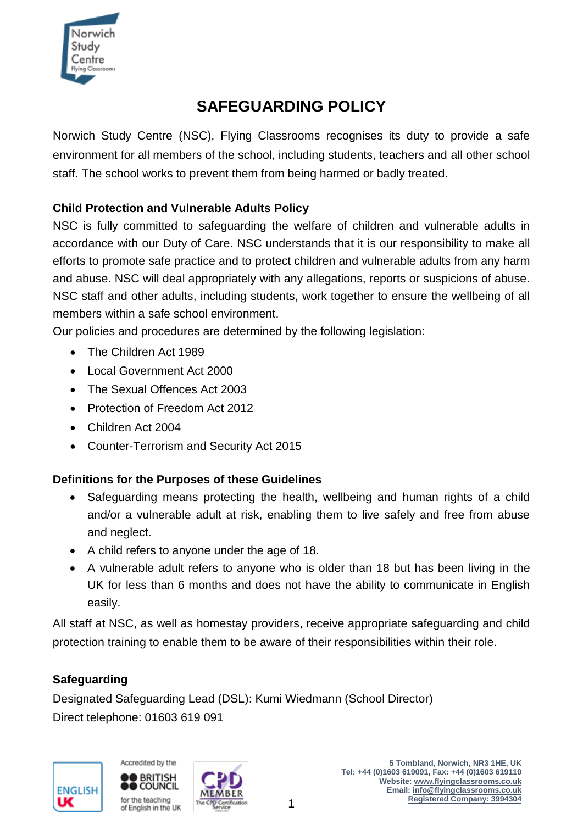

# **SAFEGUARDING POLICY**

Norwich Study Centre (NSC), Flying Classrooms recognises its duty to provide a safe environment for all members of the school, including students, teachers and all other school staff. The school works to prevent them from being harmed or badly treated.

# **Child Protection and Vulnerable Adults Policy**

NSC is fully committed to safeguarding the welfare of children and vulnerable adults in accordance with our Duty of Care. NSC understands that it is our responsibility to make all efforts to promote safe practice and to protect children and vulnerable adults from any harm and abuse. NSC will deal appropriately with any allegations, reports or suspicions of abuse. NSC staff and other adults, including students, work together to ensure the wellbeing of all members within a safe school environment.

Our policies and procedures are determined by the following legislation:

- The Children Act 1989
- Local Government Act 2000
- The Sexual Offences Act 2003
- Protection of Freedom Act 2012
- Children Act 2004
- Counter-Terrorism and Security Act 2015

# **Definitions for the Purposes of these Guidelines**

- Safeguarding means protecting the health, wellbeing and human rights of a child and/or a vulnerable adult at risk, enabling them to live safely and free from abuse and neglect.
- A child refers to anyone under the age of 18.
- A vulnerable adult refers to anyone who is older than 18 but has been living in the UK for less than 6 months and does not have the ability to communicate in English easily.

All staff at NSC, as well as homestay providers, receive appropriate safeguarding and child protection training to enable them to be aware of their responsibilities within their role.

# **Safeguarding**

Designated Safeguarding Lead (DSL): Kumi Wiedmann (School Director) Direct telephone: 01603 619 091





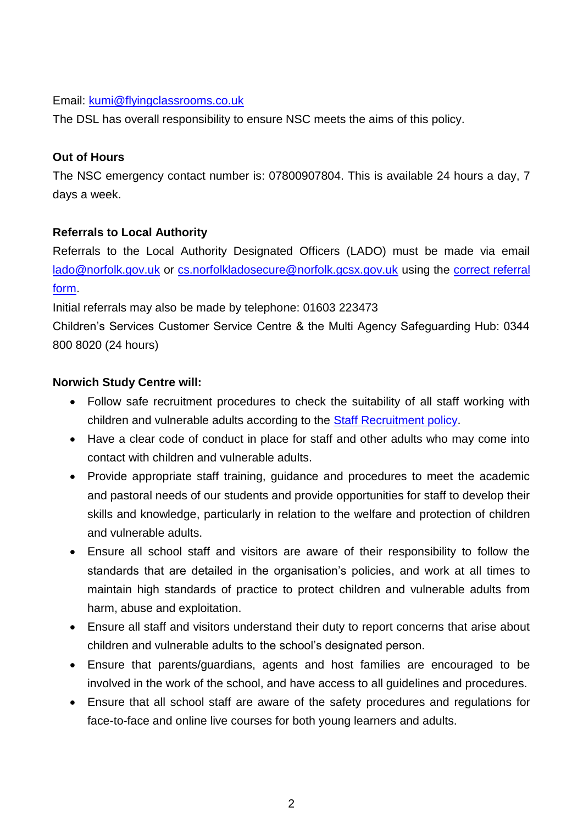#### Email: [kumi@flyingclassrooms.co.uk](mailto:kumi@flyingclassrooms.co.uk)

The DSL has overall responsibility to ensure NSC meets the aims of this policy.

#### **Out of Hours**

The NSC emergency contact number is: 07800907804. This is available 24 hours a day, 7 days a week.

## **Referrals to Local Authority**

Referrals to the Local Authority Designated Officers (LADO) must be made via email [lado@norfolk.gov.uk](mailto:lado@norfolk.gov.uk) or [cs.norfolkladosecure@norfolk.gcsx.gov.uk](mailto:cs.norfolkladosecure@norfolk.gcsx.gov.uk) using the [correct referral](http://www.norfolklscb.org/wp-content/uploads/2015/04/LADO-Referral-Form-agency-v2-1.doc)  [form.](http://www.norfolklscb.org/wp-content/uploads/2015/04/LADO-Referral-Form-agency-v2-1.doc)

Initial referrals may also be made by telephone: 01603 223473

Children's Services Customer Service Centre & the Multi Agency Safeguarding Hub: 0344 800 8020 (24 hours)

#### **Norwich Study Centre will:**

- Follow safe recruitment procedures to check the suitability of all staff working with children and vulnerable adults according to the [Staff Recruitment policy.](Academic%20Policies/Recruitment%20Policy%20-%20Academic%20staff.doc)
- Have a clear code of conduct in place for staff and other adults who may come into contact with children and vulnerable adults.
- Provide appropriate staff training, guidance and procedures to meet the academic and pastoral needs of our students and provide opportunities for staff to develop their skills and knowledge, particularly in relation to the welfare and protection of children and vulnerable adults.
- Ensure all school staff and visitors are aware of their responsibility to follow the standards that are detailed in the organisation's policies, and work at all times to maintain high standards of practice to protect children and vulnerable adults from harm, abuse and exploitation.
- Ensure all staff and visitors understand their duty to report concerns that arise about children and vulnerable adults to the school's designated person.
- Ensure that parents/guardians, agents and host families are encouraged to be involved in the work of the school, and have access to all guidelines and procedures.
- Ensure that all school staff are aware of the safety procedures and regulations for face-to-face and online live courses for both young learners and adults.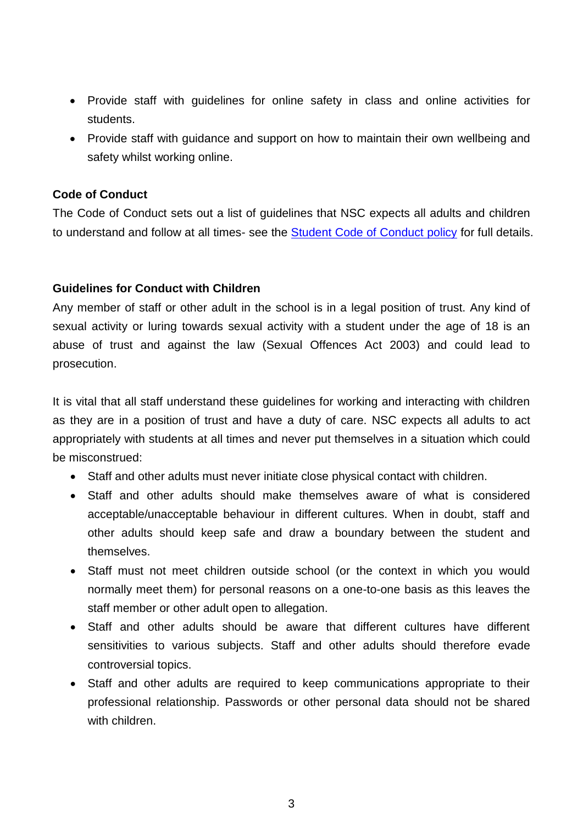- Provide staff with guidelines for online safety in class and online activities for students.
- Provide staff with guidance and support on how to maintain their own wellbeing and safety whilst working online.

#### **Code of Conduct**

The Code of Conduct sets out a list of guidelines that NSC expects all adults and children to understand and follow at all times- see the [Student Code of Conduct policy](Student%20Code%20of%20Conduct.doc) for full details.

#### **Guidelines for Conduct with Children**

Any member of staff or other adult in the school is in a legal position of trust. Any kind of sexual activity or luring towards sexual activity with a student under the age of 18 is an abuse of trust and against the law (Sexual Offences Act 2003) and could lead to prosecution.

It is vital that all staff understand these guidelines for working and interacting with children as they are in a position of trust and have a duty of care. NSC expects all adults to act appropriately with students at all times and never put themselves in a situation which could be misconstrued:

- Staff and other adults must never initiate close physical contact with children.
- Staff and other adults should make themselves aware of what is considered acceptable/unacceptable behaviour in different cultures. When in doubt, staff and other adults should keep safe and draw a boundary between the student and themselves.
- Staff must not meet children outside school (or the context in which you would normally meet them) for personal reasons on a one-to-one basis as this leaves the staff member or other adult open to allegation.
- Staff and other adults should be aware that different cultures have different sensitivities to various subjects. Staff and other adults should therefore evade controversial topics.
- Staff and other adults are required to keep communications appropriate to their professional relationship. Passwords or other personal data should not be shared with children.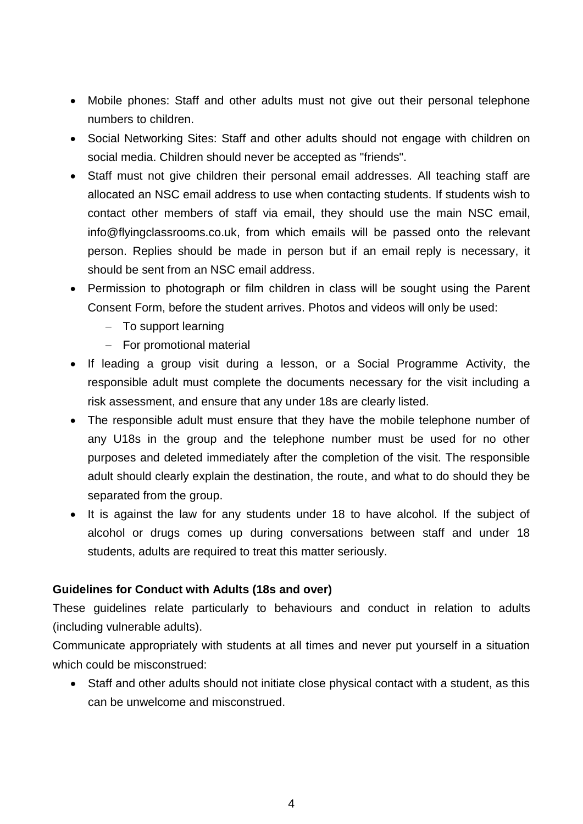- Mobile phones: Staff and other adults must not give out their personal telephone numbers to children.
- Social Networking Sites: Staff and other adults should not engage with children on social media. Children should never be accepted as "friends".
- Staff must not give children their personal email addresses. All teaching staff are allocated an NSC email address to use when contacting students. If students wish to contact other members of staff via email, they should use the main NSC email, info@flyingclassrooms.co.uk, from which emails will be passed onto the relevant person. Replies should be made in person but if an email reply is necessary, it should be sent from an NSC email address.
- Permission to photograph or film children in class will be sought using the Parent Consent Form, before the student arrives. Photos and videos will only be used:
	- $-$  To support learning
	- For promotional material
- If leading a group visit during a lesson, or a Social Programme Activity, the responsible adult must complete the documents necessary for the visit including a risk assessment, and ensure that any under 18s are clearly listed.
- The responsible adult must ensure that they have the mobile telephone number of any U18s in the group and the telephone number must be used for no other purposes and deleted immediately after the completion of the visit. The responsible adult should clearly explain the destination, the route, and what to do should they be separated from the group.
- It is against the law for any students under 18 to have alcohol. If the subject of alcohol or drugs comes up during conversations between staff and under 18 students, adults are required to treat this matter seriously.

## **Guidelines for Conduct with Adults (18s and over)**

These guidelines relate particularly to behaviours and conduct in relation to adults (including vulnerable adults).

Communicate appropriately with students at all times and never put yourself in a situation which could be misconstrued:

 Staff and other adults should not initiate close physical contact with a student, as this can be unwelcome and misconstrued.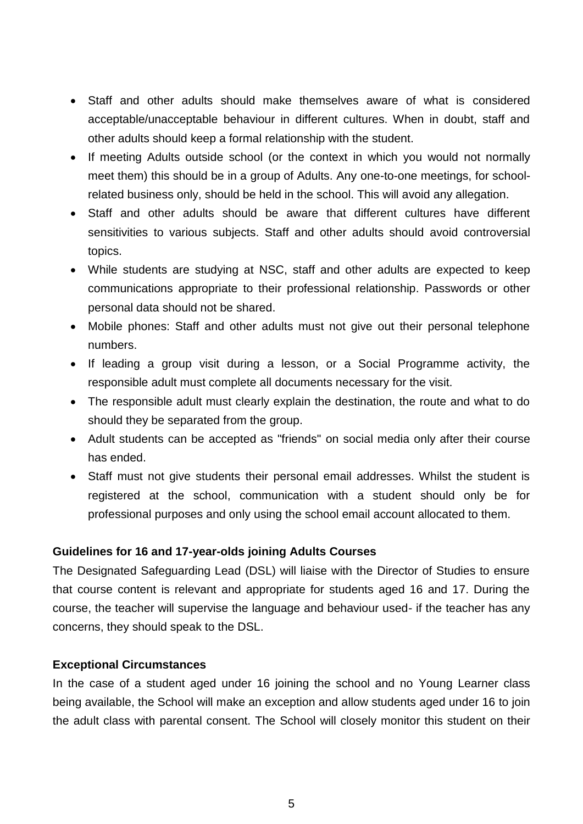- Staff and other adults should make themselves aware of what is considered acceptable/unacceptable behaviour in different cultures. When in doubt, staff and other adults should keep a formal relationship with the student.
- If meeting Adults outside school (or the context in which you would not normally meet them) this should be in a group of Adults. Any one-to-one meetings, for schoolrelated business only, should be held in the school. This will avoid any allegation.
- Staff and other adults should be aware that different cultures have different sensitivities to various subjects. Staff and other adults should avoid controversial topics.
- While students are studying at NSC, staff and other adults are expected to keep communications appropriate to their professional relationship. Passwords or other personal data should not be shared.
- Mobile phones: Staff and other adults must not give out their personal telephone numbers.
- If leading a group visit during a lesson, or a Social Programme activity, the responsible adult must complete all documents necessary for the visit.
- The responsible adult must clearly explain the destination, the route and what to do should they be separated from the group.
- Adult students can be accepted as "friends" on social media only after their course has ended.
- Staff must not give students their personal email addresses. Whilst the student is registered at the school, communication with a student should only be for professional purposes and only using the school email account allocated to them.

## **Guidelines for 16 and 17-year-olds joining Adults Courses**

The Designated Safeguarding Lead (DSL) will liaise with the Director of Studies to ensure that course content is relevant and appropriate for students aged 16 and 17. During the course, the teacher will supervise the language and behaviour used- if the teacher has any concerns, they should speak to the DSL.

#### **Exceptional Circumstances**

In the case of a student aged under 16 joining the school and no Young Learner class being available, the School will make an exception and allow students aged under 16 to join the adult class with parental consent. The School will closely monitor this student on their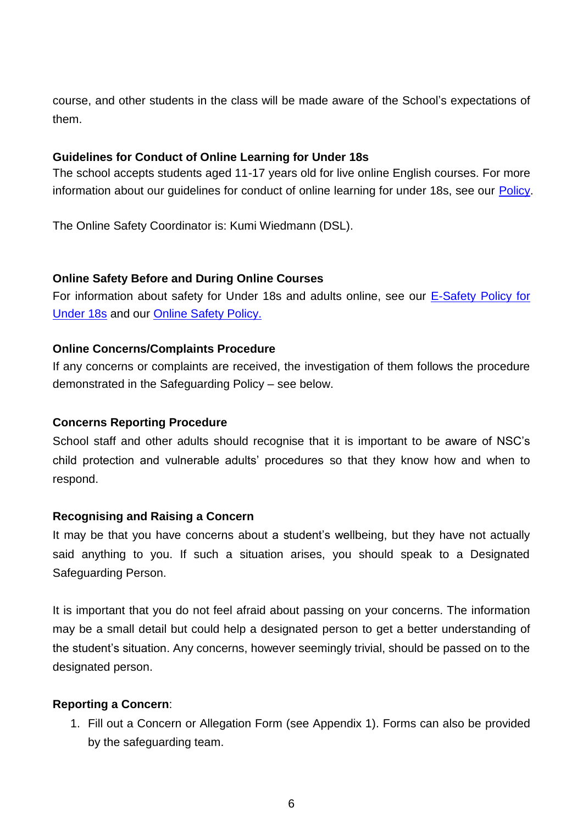course, and other students in the class will be made aware of the School's expectations of them.

#### **Guidelines for Conduct of Online Learning for Under 18s**

The school accepts students aged 11-17 years old for live online English courses. For more information about our guidelines for conduct of online learning for under 18s, see our [Policy.](Guidelines%20for%20Conduct%20of%20Online%20Learning%20for%20Under%2018s.docx)

The Online Safety Coordinator is: Kumi Wiedmann (DSL).

#### **Online Safety Before and During Online Courses**

For information about safety for Under 18s and adults online, see our [E-Safety Policy for](E-Safety%20Rules%20for%20Students%20Under%2018.doc)  [Under 18s](E-Safety%20Rules%20for%20Students%20Under%2018.doc) and our [Online Safety Policy.](Online%20Safety%20Policy.doc)

#### **Online Concerns/Complaints Procedure**

If any concerns or complaints are received, the investigation of them follows the procedure demonstrated in the Safeguarding Policy – see below.

## **Concerns Reporting Procedure**

School staff and other adults should recognise that it is important to be aware of NSC's child protection and vulnerable adults' procedures so that they know how and when to respond.

#### **Recognising and Raising a Concern**

It may be that you have concerns about a student's wellbeing, but they have not actually said anything to you. If such a situation arises, you should speak to a Designated Safeguarding Person.

It is important that you do not feel afraid about passing on your concerns. The information may be a small detail but could help a designated person to get a better understanding of the student's situation. Any concerns, however seemingly trivial, should be passed on to the designated person.

#### **Reporting a Concern**:

1. Fill out a Concern or Allegation Form (see Appendix 1). Forms can also be provided by the safeguarding team.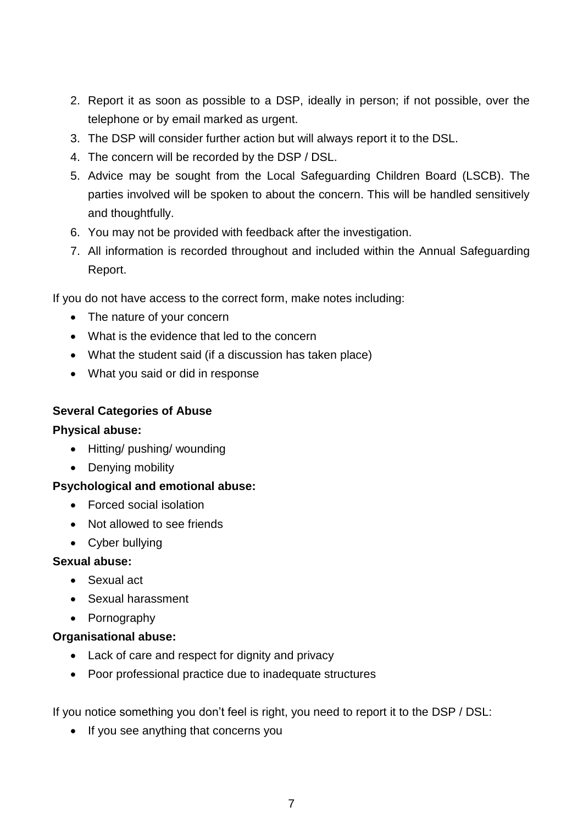- 2. Report it as soon as possible to a DSP, ideally in person; if not possible, over the telephone or by email marked as urgent.
- 3. The DSP will consider further action but will always report it to the DSL.
- 4. The concern will be recorded by the DSP / DSL.
- 5. Advice may be sought from the Local Safeguarding Children Board (LSCB). The parties involved will be spoken to about the concern. This will be handled sensitively and thoughtfully.
- 6. You may not be provided with feedback after the investigation.
- 7. All information is recorded throughout and included within the Annual Safeguarding Report.

If you do not have access to the correct form, make notes including:

- The nature of your concern
- What is the evidence that led to the concern
- What the student said (if a discussion has taken place)
- What you said or did in response

#### **Several Categories of Abuse**

#### **Physical abuse:**

- Hitting/ pushing/ wounding
- Denying mobility

#### **Psychological and emotional abuse:**

- Forced social isolation
- Not allowed to see friends
- Cyber bullying

#### **Sexual abuse:**

- Sexual act
- Sexual harassment
- Pornography

#### **Organisational abuse:**

- Lack of care and respect for dignity and privacy
- Poor professional practice due to inadequate structures

If you notice something you don't feel is right, you need to report it to the DSP / DSL:

• If you see anything that concerns you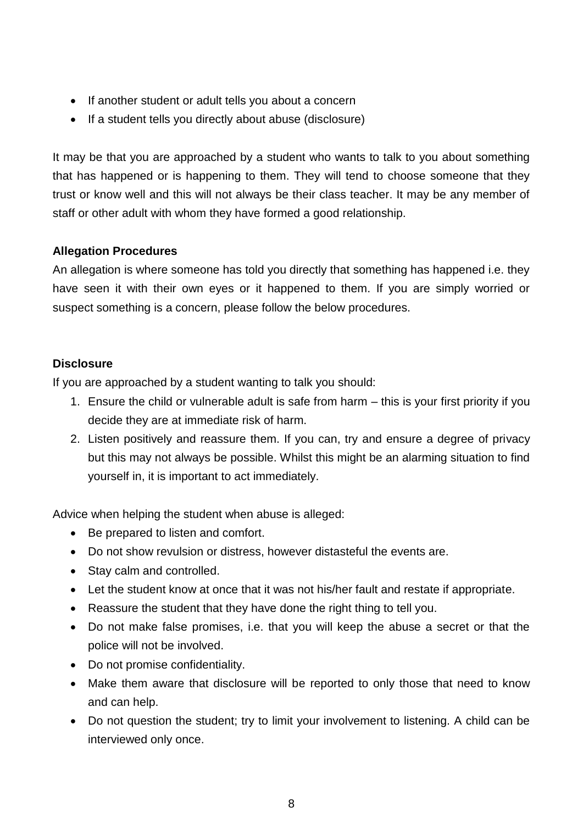- If another student or adult tells you about a concern
- If a student tells you directly about abuse (disclosure)

It may be that you are approached by a student who wants to talk to you about something that has happened or is happening to them. They will tend to choose someone that they trust or know well and this will not always be their class teacher. It may be any member of staff or other adult with whom they have formed a good relationship.

# **Allegation Procedures**

An allegation is where someone has told you directly that something has happened i.e. they have seen it with their own eyes or it happened to them. If you are simply worried or suspect something is a concern, please follow the below procedures.

## **Disclosure**

If you are approached by a student wanting to talk you should:

- 1. Ensure the child or vulnerable adult is safe from harm this is your first priority if you decide they are at immediate risk of harm.
- 2. Listen positively and reassure them. If you can, try and ensure a degree of privacy but this may not always be possible. Whilst this might be an alarming situation to find yourself in, it is important to act immediately.

Advice when helping the student when abuse is alleged:

- Be prepared to listen and comfort.
- Do not show revulsion or distress, however distasteful the events are.
- Stay calm and controlled.
- Let the student know at once that it was not his/her fault and restate if appropriate.
- Reassure the student that they have done the right thing to tell you.
- Do not make false promises, i.e. that you will keep the abuse a secret or that the police will not be involved.
- Do not promise confidentiality.
- Make them aware that disclosure will be reported to only those that need to know and can help.
- Do not question the student; try to limit your involvement to listening. A child can be interviewed only once.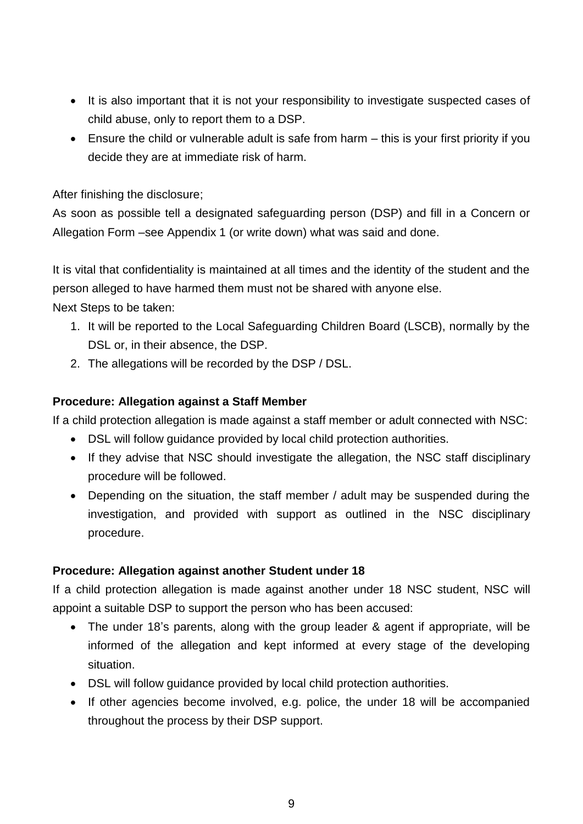- It is also important that it is not your responsibility to investigate suspected cases of child abuse, only to report them to a DSP.
- Ensure the child or vulnerable adult is safe from harm this is your first priority if you decide they are at immediate risk of harm.

After finishing the disclosure;

As soon as possible tell a designated safeguarding person (DSP) and fill in a Concern or Allegation Form –see Appendix 1 (or write down) what was said and done.

It is vital that confidentiality is maintained at all times and the identity of the student and the person alleged to have harmed them must not be shared with anyone else.

Next Steps to be taken:

- 1. It will be reported to the Local Safeguarding Children Board (LSCB), normally by the DSL or, in their absence, the DSP.
- 2. The allegations will be recorded by the DSP / DSL.

## **Procedure: Allegation against a Staff Member**

If a child protection allegation is made against a staff member or adult connected with NSC:

- DSL will follow guidance provided by local child protection authorities.
- If they advise that NSC should investigate the allegation, the NSC staff disciplinary procedure will be followed.
- Depending on the situation, the staff member / adult may be suspended during the investigation, and provided with support as outlined in the NSC disciplinary procedure.

# **Procedure: Allegation against another Student under 18**

If a child protection allegation is made against another under 18 NSC student, NSC will appoint a suitable DSP to support the person who has been accused:

- The under 18's parents, along with the group leader & agent if appropriate, will be informed of the allegation and kept informed at every stage of the developing situation.
- DSL will follow guidance provided by local child protection authorities.
- If other agencies become involved, e.g. police, the under 18 will be accompanied throughout the process by their DSP support.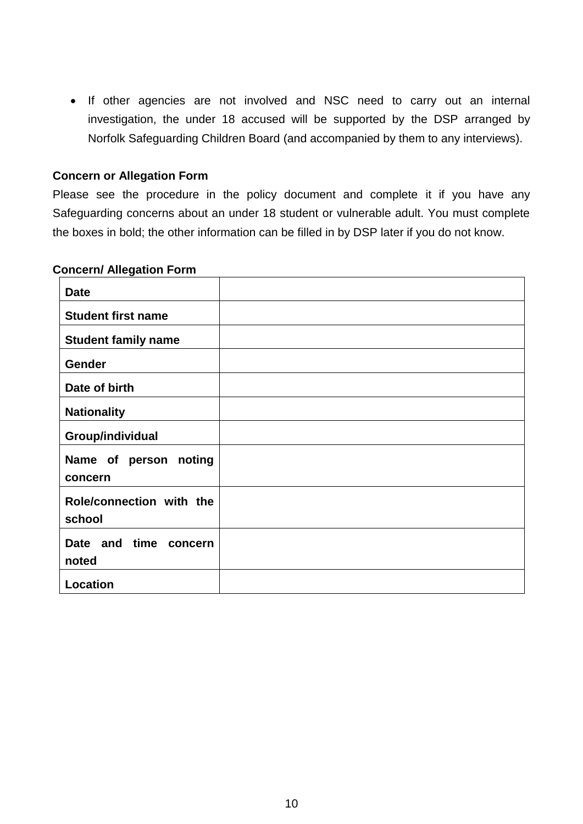• If other agencies are not involved and NSC need to carry out an internal investigation, the under 18 accused will be supported by the DSP arranged by Norfolk Safeguarding Children Board (and accompanied by them to any interviews).

#### **Concern or Allegation Form**

Please see the procedure in the policy document and complete it if you have any Safeguarding concerns about an under 18 student or vulnerable adult. You must complete the boxes in bold; the other information can be filled in by DSP later if you do not know.

#### **Concern/ Allegation Form**

| <b>Date</b>                        |  |
|------------------------------------|--|
| <b>Student first name</b>          |  |
| <b>Student family name</b>         |  |
| Gender                             |  |
| Date of birth                      |  |
| <b>Nationality</b>                 |  |
| Group/individual                   |  |
| Name of person noting<br>concern   |  |
| Role/connection with the<br>school |  |
| Date and time<br>concern<br>noted  |  |
| Location                           |  |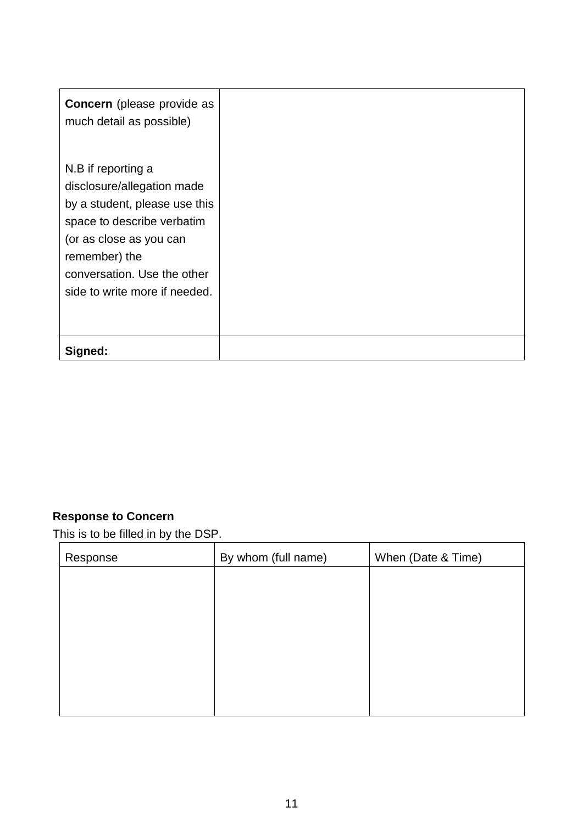| <b>Concern</b> (please provide as<br>much detail as possible)                                                                                                                                                               |  |
|-----------------------------------------------------------------------------------------------------------------------------------------------------------------------------------------------------------------------------|--|
| N.B if reporting a<br>disclosure/allegation made<br>by a student, please use this<br>space to describe verbatim<br>(or as close as you can<br>remember) the<br>conversation. Use the other<br>side to write more if needed. |  |
| Signed:                                                                                                                                                                                                                     |  |

# **Response to Concern**

This is to be filled in by the DSP.

| Response | By whom (full name) | When (Date & Time) |
|----------|---------------------|--------------------|
|          |                     |                    |
|          |                     |                    |
|          |                     |                    |
|          |                     |                    |
|          |                     |                    |
|          |                     |                    |
|          |                     |                    |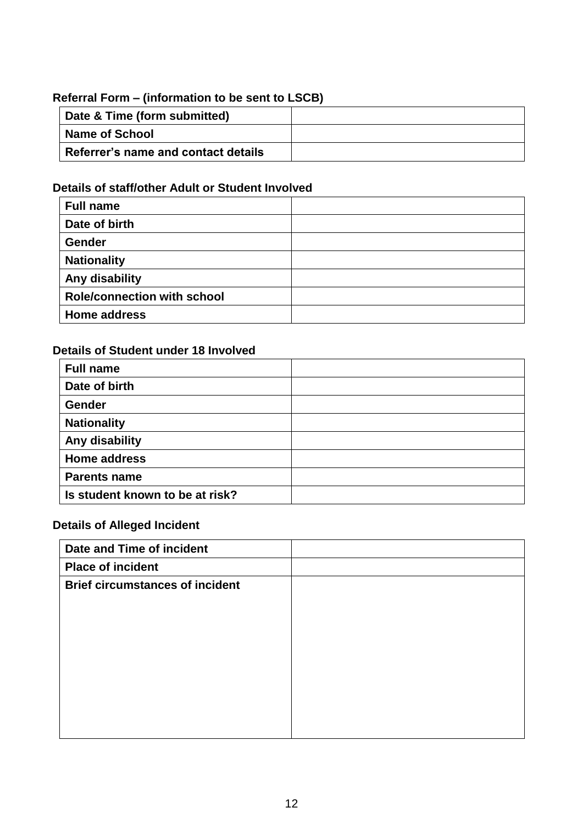# **Referral Form – (information to be sent to LSCB)**

| Date & Time (form submitted)        |  |
|-------------------------------------|--|
| <b>Name of School</b>               |  |
| Referrer's name and contact details |  |

# **Details of staff/other Adult or Student Involved**

| <b>Full name</b>                   |  |
|------------------------------------|--|
| Date of birth                      |  |
| Gender                             |  |
| <b>Nationality</b>                 |  |
| Any disability                     |  |
| <b>Role/connection with school</b> |  |
| <b>Home address</b>                |  |

# **Details of Student under 18 Involved**

| <b>Full name</b>                |  |
|---------------------------------|--|
| Date of birth                   |  |
| Gender                          |  |
| <b>Nationality</b>              |  |
| Any disability                  |  |
| <b>Home address</b>             |  |
| <b>Parents name</b>             |  |
| Is student known to be at risk? |  |

# **Details of Alleged Incident**

| Date and Time of incident              |  |
|----------------------------------------|--|
| <b>Place of incident</b>               |  |
| <b>Brief circumstances of incident</b> |  |
|                                        |  |
|                                        |  |
|                                        |  |
|                                        |  |
|                                        |  |
|                                        |  |
|                                        |  |
|                                        |  |
|                                        |  |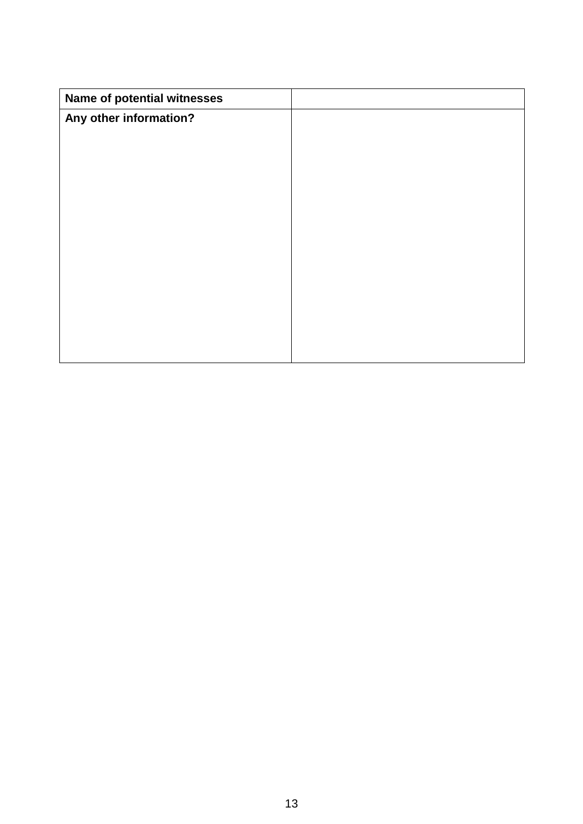| Name of potential witnesses |  |
|-----------------------------|--|
| Any other information?      |  |
|                             |  |
|                             |  |
|                             |  |
|                             |  |
|                             |  |
|                             |  |
|                             |  |
|                             |  |
|                             |  |
|                             |  |
|                             |  |
|                             |  |